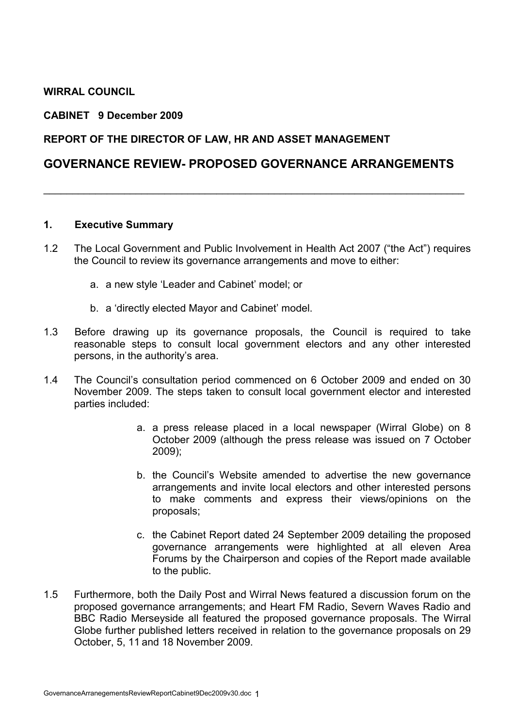## WIRRAL COUNCIL

#### CABINET 9 December 2009

#### REPORT OF THE DIRECTOR OF LAW, HR AND ASSET MANAGEMENT

## GOVERNANCE REVIEW- PROPOSED GOVERNANCE ARRANGEMENTS

\_\_\_\_\_\_\_\_\_\_\_\_\_\_\_\_\_\_\_\_\_\_\_\_\_\_\_\_\_\_\_\_\_\_\_\_\_\_\_\_\_\_\_\_\_\_\_\_\_\_\_\_\_\_\_\_\_\_\_\_\_\_\_\_\_\_\_\_\_\_\_\_\_

#### 1. Executive Summary

- 1.2 The Local Government and Public Involvement in Health Act 2007 ("the Act") requires the Council to review its governance arrangements and move to either:
	- a. a new style 'Leader and Cabinet' model; or
	- b. a 'directly elected Mayor and Cabinet' model.
- 1.3 Before drawing up its governance proposals, the Council is required to take reasonable steps to consult local government electors and any other interested persons, in the authority's area.
- 1.4 The Council's consultation period commenced on 6 October 2009 and ended on 30 November 2009. The steps taken to consult local government elector and interested parties included:
	- a. a press release placed in a local newspaper (Wirral Globe) on 8 October 2009 (although the press release was issued on 7 October 2009);
	- b. the Council's Website amended to advertise the new governance arrangements and invite local electors and other interested persons to make comments and express their views/opinions on the proposals;
	- c. the Cabinet Report dated 24 September 2009 detailing the proposed governance arrangements were highlighted at all eleven Area Forums by the Chairperson and copies of the Report made available to the public.
- 1.5 Furthermore, both the Daily Post and Wirral News featured a discussion forum on the proposed governance arrangements; and Heart FM Radio, Severn Waves Radio and BBC Radio Merseyside all featured the proposed governance proposals. The Wirral Globe further published letters received in relation to the governance proposals on 29 October, 5, 11 and 18 November 2009.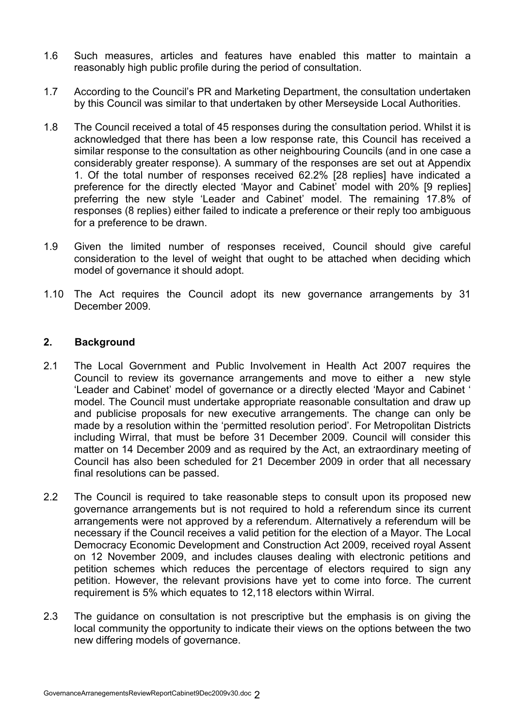- 1.6 Such measures, articles and features have enabled this matter to maintain a reasonably high public profile during the period of consultation.
- 1.7 According to the Council's PR and Marketing Department, the consultation undertaken by this Council was similar to that undertaken by other Merseyside Local Authorities.
- 1.8 The Council received a total of 45 responses during the consultation period. Whilst it is acknowledged that there has been a low response rate, this Council has received a similar response to the consultation as other neighbouring Councils (and in one case a considerably greater response). A summary of the responses are set out at Appendix 1. Of the total number of responses received 62.2% [28 replies] have indicated a preference for the directly elected 'Mayor and Cabinet' model with 20% [9 replies] preferring the new style 'Leader and Cabinet' model. The remaining 17.8% of responses (8 replies) either failed to indicate a preference or their reply too ambiguous for a preference to be drawn.
- 1.9 Given the limited number of responses received, Council should give careful consideration to the level of weight that ought to be attached when deciding which model of governance it should adopt.
- 1.10 The Act requires the Council adopt its new governance arrangements by 31 December 2009.

### 2. Background

- 2.1 The Local Government and Public Involvement in Health Act 2007 requires the Council to review its governance arrangements and move to either a new style 'Leader and Cabinet' model of governance or a directly elected 'Mayor and Cabinet ' model. The Council must undertake appropriate reasonable consultation and draw up and publicise proposals for new executive arrangements. The change can only be made by a resolution within the 'permitted resolution period'. For Metropolitan Districts including Wirral, that must be before 31 December 2009. Council will consider this matter on 14 December 2009 and as required by the Act, an extraordinary meeting of Council has also been scheduled for 21 December 2009 in order that all necessary final resolutions can be passed.
- 2.2 The Council is required to take reasonable steps to consult upon its proposed new governance arrangements but is not required to hold a referendum since its current arrangements were not approved by a referendum. Alternatively a referendum will be necessary if the Council receives a valid petition for the election of a Mayor. The Local Democracy Economic Development and Construction Act 2009, received royal Assent on 12 November 2009, and includes clauses dealing with electronic petitions and petition schemes which reduces the percentage of electors required to sign any petition. However, the relevant provisions have yet to come into force. The current requirement is 5% which equates to 12,118 electors within Wirral.
- 2.3 The guidance on consultation is not prescriptive but the emphasis is on giving the local community the opportunity to indicate their views on the options between the two new differing models of governance.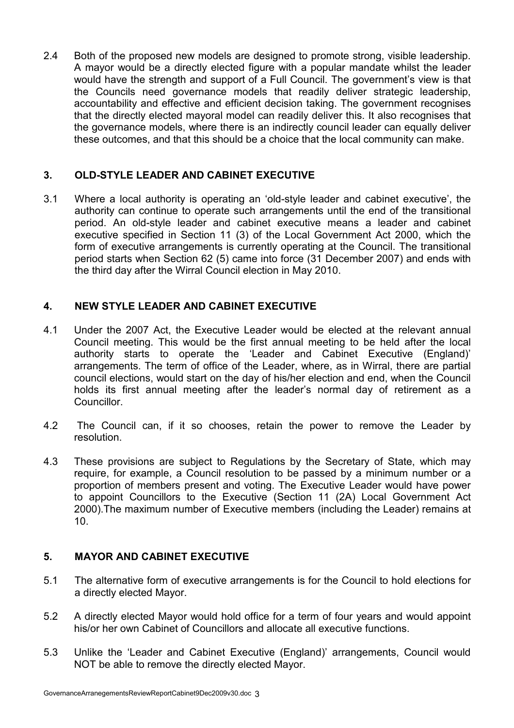2.4 Both of the proposed new models are designed to promote strong, visible leadership. A mayor would be a directly elected figure with a popular mandate whilst the leader would have the strength and support of a Full Council. The government's view is that the Councils need governance models that readily deliver strategic leadership, accountability and effective and efficient decision taking. The government recognises that the directly elected mayoral model can readily deliver this. It also recognises that the governance models, where there is an indirectly council leader can equally deliver these outcomes, and that this should be a choice that the local community can make.

# 3. OLD-STYLE LEADER AND CABINET EXECUTIVE

3.1 Where a local authority is operating an 'old-style leader and cabinet executive', the authority can continue to operate such arrangements until the end of the transitional period. An old-style leader and cabinet executive means a leader and cabinet executive specified in Section 11 (3) of the Local Government Act 2000, which the form of executive arrangements is currently operating at the Council. The transitional period starts when Section 62 (5) came into force (31 December 2007) and ends with the third day after the Wirral Council election in May 2010.

# 4. NEW STYLE LEADER AND CABINET EXECUTIVE

- 4.1 Under the 2007 Act, the Executive Leader would be elected at the relevant annual Council meeting. This would be the first annual meeting to be held after the local authority starts to operate the 'Leader and Cabinet Executive (England)' arrangements. The term of office of the Leader, where, as in Wirral, there are partial council elections, would start on the day of his/her election and end, when the Council holds its first annual meeting after the leader's normal day of retirement as a Councillor.
- 4.2 The Council can, if it so chooses, retain the power to remove the Leader by resolution.
- 4.3 These provisions are subject to Regulations by the Secretary of State, which may require, for example, a Council resolution to be passed by a minimum number or a proportion of members present and voting. The Executive Leader would have power to appoint Councillors to the Executive (Section 11 (2A) Local Government Act 2000).The maximum number of Executive members (including the Leader) remains at 10.

# 5. MAYOR AND CABINET EXECUTIVE

- 5.1 The alternative form of executive arrangements is for the Council to hold elections for a directly elected Mayor.
- 5.2 A directly elected Mayor would hold office for a term of four years and would appoint his/or her own Cabinet of Councillors and allocate all executive functions.
- 5.3 Unlike the 'Leader and Cabinet Executive (England)' arrangements, Council would NOT be able to remove the directly elected Mayor.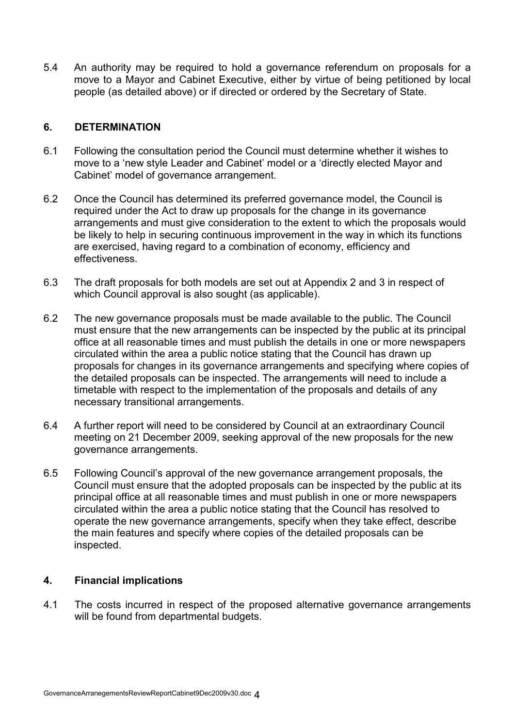5.4 An authority may be required to hold a governance referendum on proposals for a move to a Mayor and Cabinet Executive, either by virtue of being petitioned by local people (as detailed above) or if directed or ordered by the Secretary of State.

### 6. DETERMINATION

- 6.1 Following the consultation period the Council must determine whether it wishes to move to a 'new style Leader and Cabinet' model or a 'directly elected Mayor and Cabinet' model of governance arrangement.
- 6.2 Once the Council has determined its preferred governance model, the Council is required under the Act to draw up proposals for the change in its governance arrangements and must give consideration to the extent to which the proposals would be likely to help in securing continuous improvement in the way in which its functions are exercised, having regard to a combination of economy, efficiency and effectiveness.
- 6.3 The draft proposals for both models are set out at Appendix 2 and 3 in respect of which Council approval is also sought (as applicable).
- 6.2 The new governance proposals must be made available to the public. The Council must ensure that the new arrangements can be inspected by the public at its principal office at all reasonable times and must publish the details in one or more newspapers circulated within the area a public notice stating that the Council has drawn up proposals for changes in its governance arrangements and specifying where copies of the detailed proposals can be inspected. The arrangements will need to include a timetable with respect to the implementation of the proposals and details of any necessary transitional arrangements.
- 6.4 A further report will need to be considered by Council at an extraordinary Council meeting on 21 December 2009, seeking approval of the new proposals for the new governance arrangements.
- 6.5 Following Council's approval of the new governance arrangement proposals, the Council must ensure that the adopted proposals can be inspected by the public at its principal office at all reasonable times and must publish in one or more newspapers circulated within the area a public notice stating that the Council has resolved to operate the new governance arrangements, specify when they take effect, describe the main features and specify where copies of the detailed proposals can be inspected.

### 4. Financial implications

4.1 The costs incurred in respect of the proposed alternative governance arrangements will be found from departmental budgets.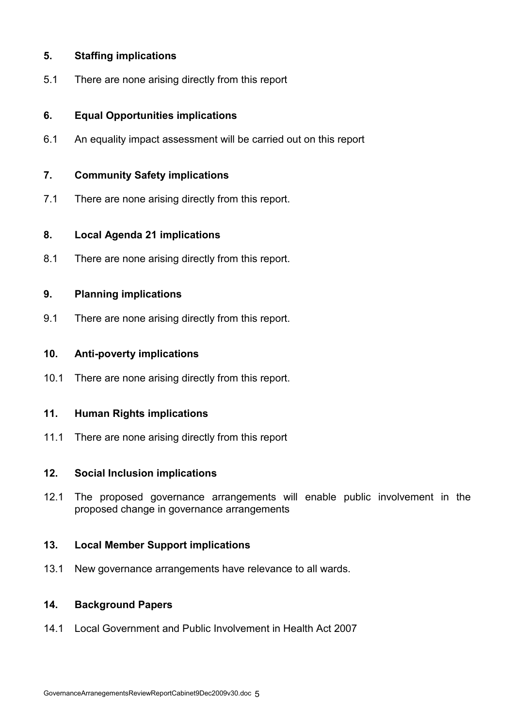## 5. Staffing implications

5.1 There are none arising directly from this report

## 6. Equal Opportunities implications

6.1 An equality impact assessment will be carried out on this report

### 7. Community Safety implications

7.1 There are none arising directly from this report.

### 8. Local Agenda 21 implications

8.1 There are none arising directly from this report.

### 9. Planning implications

9.1 There are none arising directly from this report.

### 10. Anti-poverty implications

10.1 There are none arising directly from this report.

### 11. Human Rights implications

11.1 There are none arising directly from this report

### 12. Social Inclusion implications

12.1 The proposed governance arrangements will enable public involvement in the proposed change in governance arrangements

### 13. Local Member Support implications

13.1 New governance arrangements have relevance to all wards.

# 14. Background Papers

14.1 Local Government and Public Involvement in Health Act 2007